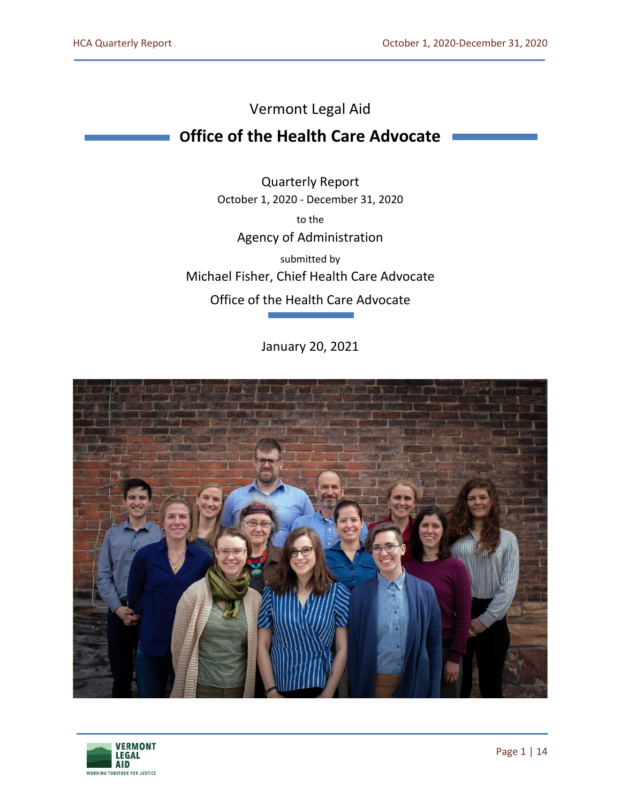# Vermont Legal Aid

# **Office of the Health Care Advocate**

Quarterly Report October 1, 2020 - December 31, 2020 to the Agency of Administration submitted by Michael Fisher, Chief Health Care Advocate Office of the Health Care Advocate

January 20, 2021



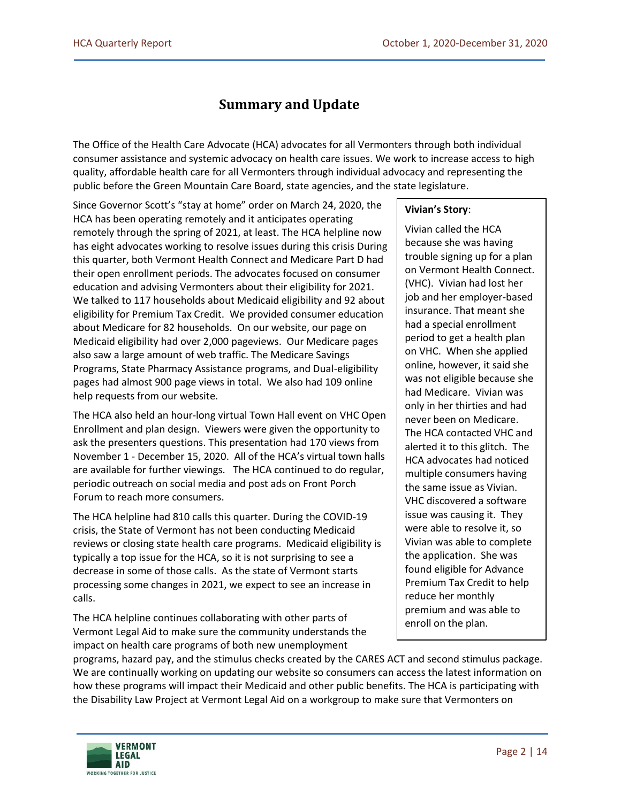# **Summary and Update**

The Office of the Health Care Advocate (HCA) advocates for all Vermonters through both individual consumer assistance and systemic advocacy on health care issues. We work to increase access to high quality, affordable health care for all Vermonters through individual advocacy and representing the public before the Green Mountain Care Board, state agencies, and the state legislature.

Since Governor Scott's "stay at home" order on March 24, 2020, the HCA has been operating remotely and it anticipates operating remotely through the spring of 2021, at least. The HCA helpline now has eight advocates working to resolve issues during this crisis During this quarter, both Vermont Health Connect and Medicare Part D had their open enrollment periods. The advocates focused on consumer education and advising Vermonters about their eligibility for 2021. We talked to 117 households about Medicaid eligibility and 92 about eligibility for Premium Tax Credit. We provided consumer education about Medicare for 82 households. On our website, our page on Medicaid eligibility had over 2,000 pageviews. Our Medicare pages also saw a large amount of web traffic. The Medicare Savings Programs, State Pharmacy Assistance programs, and Dual-eligibility pages had almost 900 page views in total. We also had 109 online help requests from our website.

The HCA also held an hour-long virtual Town Hall event on VHC Open Enrollment and plan design. Viewers were given the opportunity to ask the presenters questions. This presentation had 170 views from November 1 - December 15, 2020. All of the HCA's virtual town halls are available for further viewings. The HCA continued to do regular, periodic outreach on social media and post ads on Front Porch Forum to reach more consumers.

The HCA helpline had 810 calls this quarter. During the COVID-19 crisis, the State of Vermont has not been conducting Medicaid reviews or closing state health care programs. Medicaid eligibility is typically a top issue for the HCA, so it is not surprising to see a decrease in some of those calls. As the state of Vermont starts processing some changes in 2021, we expect to see an increase in calls.

The HCA helpline continues collaborating with other parts of Vermont Legal Aid to make sure the community understands the impact on health care programs of both new unemployment

### **Vivian's Story**:

Vivian called the HCA because she was having trouble signing up for a plan on Vermont Health Connect. (VHC). Vivian had lost her job and her employer-based insurance. That meant she had a special enrollment period to get a health plan on VHC. When she applied online, however, it said she was not eligible because she had Medicare. Vivian was only in her thirties and had never been on Medicare. The HCA contacted VHC and alerted it to this glitch. The HCA advocates had noticed multiple consumers having the same issue as Vivian. VHC discovered a software issue was causing it. They were able to resolve it, so Vivian was able to complete the application. She was found eligible for Advance Premium Tax Credit to help reduce her monthly premium and was able to enroll on the plan.

programs, hazard pay, and the stimulus checks created by the CARES ACT and second stimulus package. We are continually working on updating our website so consumers can access the latest information on how these programs will impact their Medicaid and other public benefits. The HCA is participating with the Disability Law Project at Vermont Legal Aid on a workgroup to make sure that Vermonters on

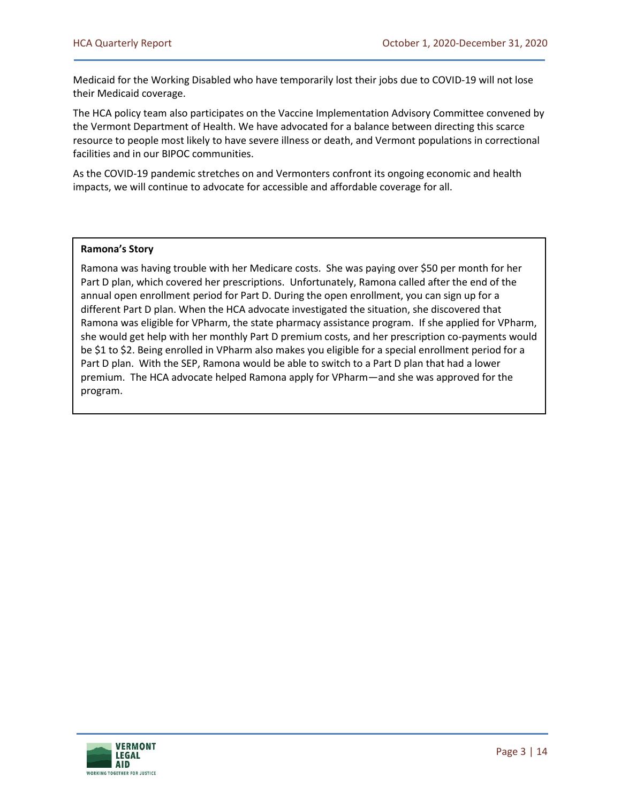Medicaid for the Working Disabled who have temporarily lost their jobs due to COVID-19 will not lose their Medicaid coverage.

The HCA policy team also participates on the Vaccine Implementation Advisory Committee convened by the Vermont Department of Health. We have advocated for a balance between directing this scarce resource to people most likely to have severe illness or death, and Vermont populations in correctional facilities and in our BIPOC communities.

As the COVID-19 pandemic stretches on and Vermonters confront its ongoing economic and health impacts, we will continue to advocate for accessible and affordable coverage for all.

#### **Ramona's Story**

Ramona was having trouble with her Medicare costs. She was paying over \$50 per month for her Part D plan, which covered her prescriptions. Unfortunately, Ramona called after the end of the annual open enrollment period for Part D. During the open enrollment, you can sign up for a different Part D plan. When the HCA advocate investigated the situation, she discovered that Ramona was eligible for VPharm, the state pharmacy assistance program. If she applied for VPharm, she would get help with her monthly Part D premium costs, and her prescription co-payments would be \$1 to \$2. Being enrolled in VPharm also makes you eligible for a special enrollment period for a Part D plan. With the SEP, Ramona would be able to switch to a Part D plan that had a lower premium. The HCA advocate helped Ramona apply for VPharm—and she was approved for the program.

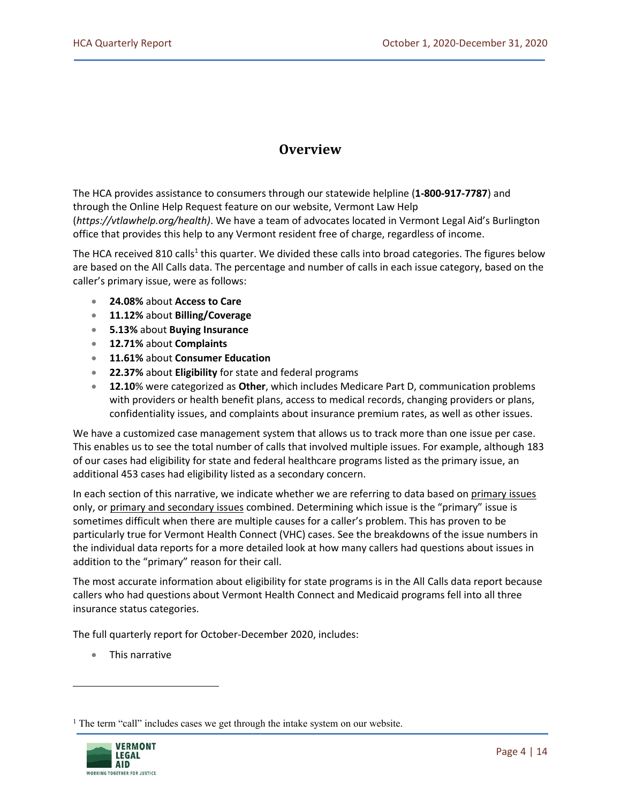### **Overview**

The HCA provides assistance to consumers through our statewide helpline (**1-800-917-7787**) and through the Online Help Request feature on our website, Vermont Law Help (*[https://vtlawhelp.org/health\)](https://vtlawhelp.org/health)*. We have a team of advocates located in Vermont Legal Aid's Burlington office that provides this help to any Vermont resident free of charge, regardless of income.

The HCA received 810 calls<sup>1</sup> this quarter. We divided these calls into broad categories. The figures below are based on the All Calls data. The percentage and number of calls in each issue category, based on the caller's primary issue, were as follows:

- **24.08%** about **Access to Care**
- **11.12%** about **Billing/Coverage**
- **5.13%** about **Buying Insurance**
- **12.71%** about **Complaints**
- **11.61%** about **Consumer Education**
- **22.37%** about **Eligibility** for state and federal programs
- **12.10**% were categorized as **Other**, which includes Medicare Part D, communication problems with providers or health benefit plans, access to medical records, changing providers or plans, confidentiality issues, and complaints about insurance premium rates, as well as other issues.

We have a customized case management system that allows us to track more than one issue per case. This enables us to see the total number of calls that involved multiple issues. For example, although 183 of our cases had eligibility for state and federal healthcare programs listed as the primary issue, an additional 453 cases had eligibility listed as a secondary concern.

In each section of this narrative, we indicate whether we are referring to data based on primary issues only, or primary and secondary issues combined. Determining which issue is the "primary" issue is sometimes difficult when there are multiple causes for a caller's problem. This has proven to be particularly true for Vermont Health Connect (VHC) cases. See the breakdowns of the issue numbers in the individual data reports for a more detailed look at how many callers had questions about issues in addition to the "primary" reason for their call.

The most accurate information about eligibility for state programs is in the All Calls data report because callers who had questions about Vermont Health Connect and Medicaid programs fell into all three insurance status categories.

The full quarterly report for October-December 2020, includes:

• This narrative

<sup>&</sup>lt;sup>1</sup> The term "call" includes cases we get through the intake system on our website.

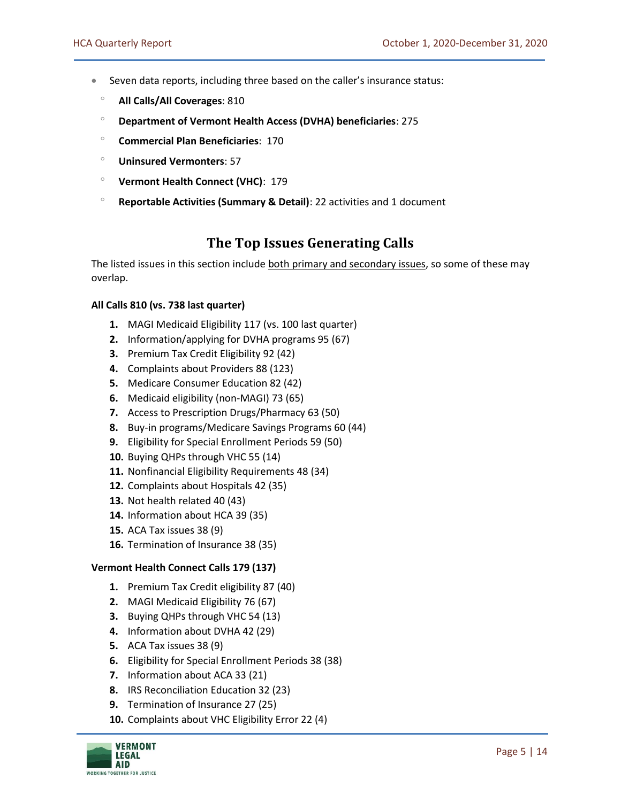- Seven data reports, including three based on the caller's insurance status:
	- **All Calls/All Coverages**: 810
	- **Department of Vermont Health Access (DVHA) beneficiaries**: 275
	- **Commercial Plan Beneficiaries**: 170
	- **Uninsured Vermonters**: 57
	- **Vermont Health Connect (VHC)**: 179
	- **Reportable Activities (Summary & Detail)**: 22 activities and 1 document

### **The Top Issues Generating Calls**

The listed issues in this section include both primary and secondary issues, so some of these may overlap.

#### **All Calls 810 (vs. 738 last quarter)**

- **1.** MAGI Medicaid Eligibility 117 (vs. 100 last quarter)
- **2.** Information/applying for DVHA programs 95 (67)
- **3.** Premium Tax Credit Eligibility 92 (42)
- **4.** Complaints about Providers 88 (123)
- **5.** Medicare Consumer Education 82 (42)
- **6.** Medicaid eligibility (non-MAGI) 73 (65)
- **7.** Access to Prescription Drugs/Pharmacy 63 (50)
- **8.** Buy-in programs/Medicare Savings Programs 60 (44)
- **9.** Eligibility for Special Enrollment Periods 59 (50)
- **10.** Buying QHPs through VHC 55 (14)
- **11.** Nonfinancial Eligibility Requirements 48 (34)
- **12.** Complaints about Hospitals 42 (35)
- **13.** Not health related 40 (43)
- **14.** Information about HCA 39 (35)
- **15.** ACA Tax issues 38 (9)
- **16.** Termination of Insurance 38 (35)

#### **Vermont Health Connect Calls 179 (137)**

- **1.** Premium Tax Credit eligibility 87 (40)
- **2.** MAGI Medicaid Eligibility 76 (67)
- **3.** Buying QHPs through VHC 54 (13)
- **4.** Information about DVHA 42 (29)
- **5.** ACA Tax issues 38 (9)
- **6.** Eligibility for Special Enrollment Periods 38 (38)
- **7.** Information about ACA 33 (21)
- **8.** IRS Reconciliation Education 32 (23)
- **9.** Termination of Insurance 27 (25)
- **10.** Complaints about VHC Eligibility Error 22 (4)

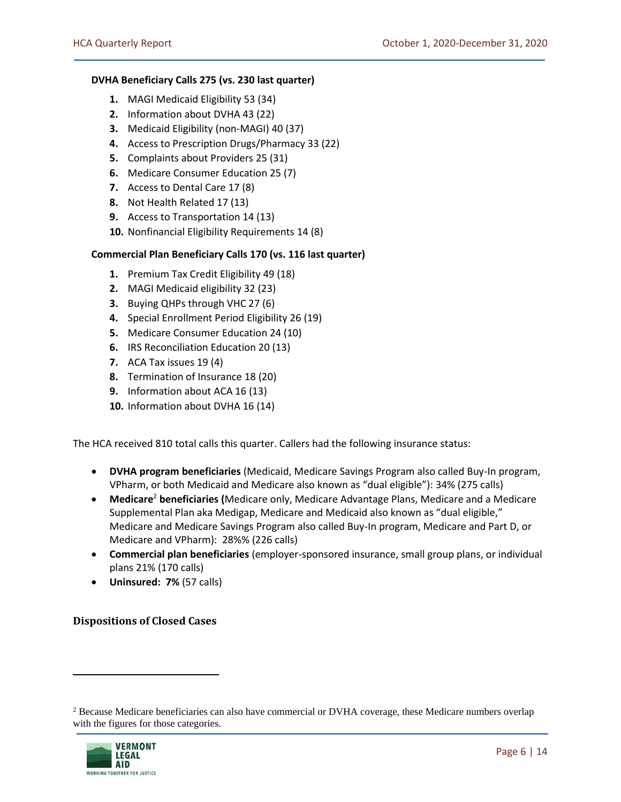#### **DVHA Beneficiary Calls 275 (vs. 230 last quarter)**

- **1.** MAGI Medicaid Eligibility 53 (34)
- **2.** Information about DVHA 43 (22)
- **3.** Medicaid Eligibility (non-MAGI) 40 (37)
- **4.** Access to Prescription Drugs/Pharmacy 33 (22)
- **5.** Complaints about Providers 25 (31)
- **6.** Medicare Consumer Education 25 (7)
- **7.** Access to Dental Care 17 (8)
- **8.** Not Health Related 17 (13)
- **9.** Access to Transportation 14 (13)
- **10.** Nonfinancial Eligibility Requirements 14 (8)

#### **Commercial Plan Beneficiary Calls 170 (vs. 116 last quarter)**

- **1.** Premium Tax Credit Eligibility 49 (18)
- **2.** MAGI Medicaid eligibility 32 (23)
- **3.** Buying QHPs through VHC 27 (6)
- **4.** Special Enrollment Period Eligibility 26 (19)
- **5.** Medicare Consumer Education 24 (10)
- **6.** IRS Reconciliation Education 20 (13)
- **7.** ACA Tax issues 19 (4)
- **8.** Termination of Insurance 18 (20)
- **9.** Information about ACA 16 (13)
- **10.** Information about DVHA 16 (14)

The HCA received 810 total calls this quarter. Callers had the following insurance status:

- **DVHA program beneficiaries** (Medicaid, Medicare Savings Program also called Buy-In program, VPharm, or both Medicaid and Medicare also known as "dual eligible"): 34% (275 calls)
- **Medicare**<sup>2</sup> **beneficiaries (**Medicare only, Medicare Advantage Plans, Medicare and a Medicare Supplemental Plan aka Medigap, Medicare and Medicaid also known as "dual eligible," Medicare and Medicare Savings Program also called Buy-In program, Medicare and Part D, or Medicare and VPharm): 28%% (226 calls)
- **Commercial plan beneficiaries** (employer-sponsored insurance, small group plans, or individual plans 21% (170 calls)
- **Uninsured: 7%** (57 calls)

#### **Dispositions of Closed Cases**

<sup>&</sup>lt;sup>2</sup> Because Medicare beneficiaries can also have commercial or DVHA coverage, these Medicare numbers overlap with the figures for those categories.

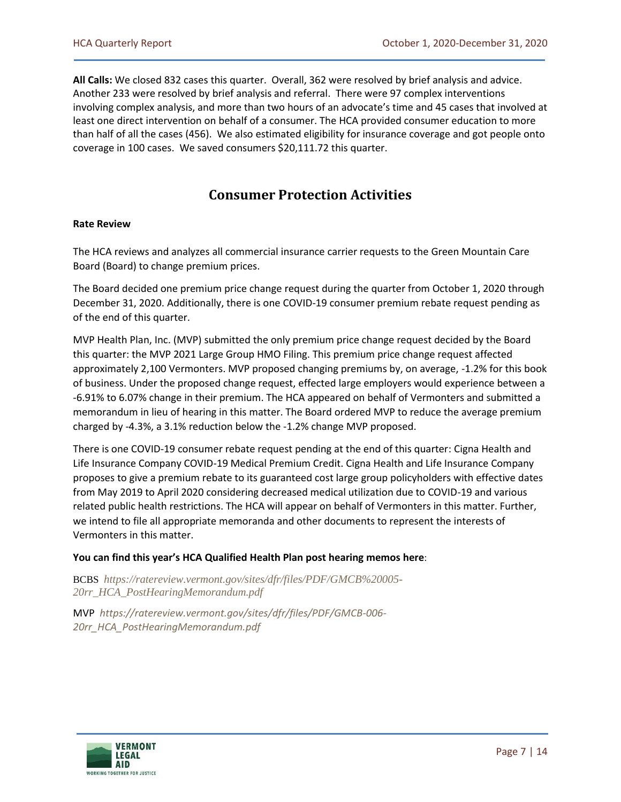**All Calls:** We closed 832 cases this quarter. Overall, 362 were resolved by brief analysis and advice. Another 233 were resolved by brief analysis and referral. There were 97 complex interventions involving complex analysis, and more than two hours of an advocate's time and 45 cases that involved at least one direct intervention on behalf of a consumer. The HCA provided consumer education to more than half of all the cases (456). We also estimated eligibility for insurance coverage and got people onto coverage in 100 cases. We saved consumers \$20,111.72 this quarter.

### **Consumer Protection Activities**

#### **Rate Review**

The HCA reviews and analyzes all commercial insurance carrier requests to the Green Mountain Care Board (Board) to change premium prices.

The Board decided one premium price change request during the quarter from October 1, 2020 through December 31, 2020. Additionally, there is one COVID-19 consumer premium rebate request pending as of the end of this quarter.

MVP Health Plan, Inc. (MVP) submitted the only premium price change request decided by the Board this quarter: the MVP 2021 Large Group HMO Filing. This premium price change request affected approximately 2,100 Vermonters. MVP proposed changing premiums by, on average, -1.2% for this book of business. Under the proposed change request, effected large employers would experience between a -6.91% to 6.07% change in their premium. The HCA appeared on behalf of Vermonters and submitted a memorandum in lieu of hearing in this matter. The Board ordered MVP to reduce the average premium charged by -4.3%, a 3.1% reduction below the -1.2% change MVP proposed.

There is one COVID-19 consumer rebate request pending at the end of this quarter: Cigna Health and Life Insurance Company COVID-19 Medical Premium Credit. Cigna Health and Life Insurance Company proposes to give a premium rebate to its guaranteed cost large group policyholders with effective dates from May 2019 to April 2020 considering decreased medical utilization due to COVID-19 and various related public health restrictions. The HCA will appear on behalf of Vermonters in this matter. Further, we intend to file all appropriate memoranda and other documents to represent the interests of Vermonters in this matter.

#### **You can find this year's HCA Qualified Health Plan post hearing memos here**:

BCBS *[https://ratereview.vermont.gov/sites/dfr/files/PDF/GMCB%20005-](https://ratereview.vermont.gov/sites/dfr/files/PDF/GMCB%20005-20rr_HCA_PostHearingMemorandum.pdf) [20rr\\_HCA\\_PostHearingMemorandum.pdf](https://ratereview.vermont.gov/sites/dfr/files/PDF/GMCB%20005-20rr_HCA_PostHearingMemorandum.pdf)*

MVP *[https://ratereview.vermont.gov/sites/dfr/files/PDF/GMCB-006-](https://ratereview.vermont.gov/sites/dfr/files/PDF/GMCB-006-20rr_HCA_PostHearingMemorandum.pdf) [20rr\\_HCA\\_PostHearingMemorandum.pdf](https://ratereview.vermont.gov/sites/dfr/files/PDF/GMCB-006-20rr_HCA_PostHearingMemorandum.pdf)*

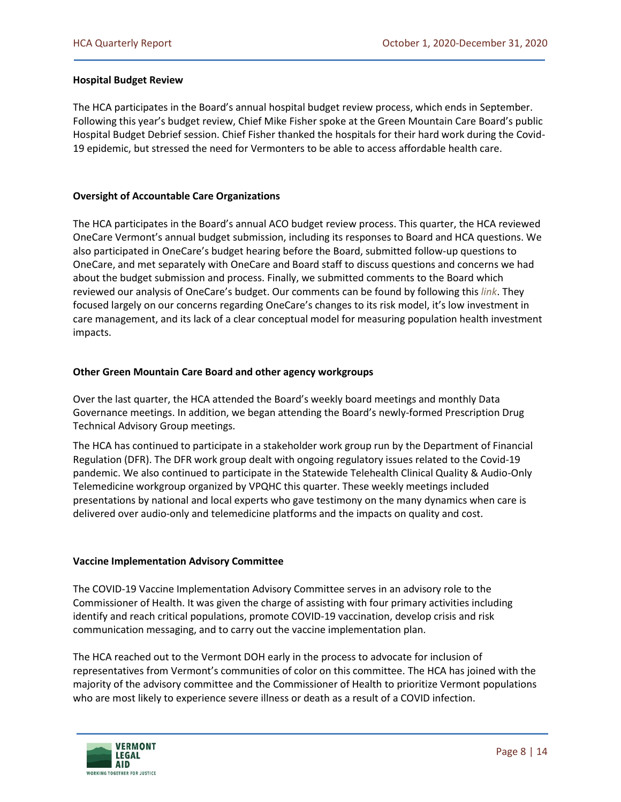#### **Hospital Budget Review**

The HCA participates in the Board's annual hospital budget review process, which ends in September. Following this year's budget review, Chief Mike Fisher spoke at the Green Mountain Care Board's public Hospital Budget Debrief session. Chief Fisher thanked the hospitals for their hard work during the Covid-19 epidemic, but stressed the need for Vermonters to be able to access affordable health care.

#### **Oversight of Accountable Care Organizations**

The HCA participates in the Board's annual ACO budget review process. This quarter, the HCA reviewed OneCare Vermont's annual budget submission, including its responses to Board and HCA questions. We also participated in OneCare's budget hearing before the Board, submitted follow-up questions to OneCare, and met separately with OneCare and Board staff to discuss questions and concerns we had about the budget submission and process. Finally, we submitted comments to the Board which reviewed our analysis of OneCare's budget. Our comments can be found by following this *[link](https://gmcboard.vermont.gov/sites/gmcb/files/documents/Public%20Comment%20-%20HCA%20Re%20FY21%20ACO%20Budget%2012.2.2020.pdf)*. They focused largely on our concerns regarding OneCare's changes to its risk model, it's low investment in care management, and its lack of a clear conceptual model for measuring population health investment impacts.

#### **Other Green Mountain Care Board and other agency workgroups**

Over the last quarter, the HCA attended the Board's weekly board meetings and monthly Data Governance meetings. In addition, we began attending the Board's newly-formed Prescription Drug Technical Advisory Group meetings.

The HCA has continued to participate in a stakeholder work group run by the Department of Financial Regulation (DFR). The DFR work group dealt with ongoing regulatory issues related to the Covid-19 pandemic. We also continued to participate in the Statewide Telehealth Clinical Quality & Audio-Only Telemedicine workgroup organized by VPQHC this quarter. These weekly meetings included presentations by national and local experts who gave testimony on the many dynamics when care is delivered over audio-only and telemedicine platforms and the impacts on quality and cost.

#### **Vaccine Implementation Advisory Committee**

The COVID-19 Vaccine Implementation Advisory Committee serves in an advisory role to the Commissioner of Health. It was given the charge of assisting with four primary activities including identify and reach critical populations, promote COVID-19 vaccination, develop crisis and risk communication messaging, and to carry out the vaccine implementation plan.

The HCA reached out to the Vermont DOH early in the process to advocate for inclusion of representatives from Vermont's communities of color on this committee. The HCA has joined with the majority of the advisory committee and the Commissioner of Health to prioritize Vermont populations who are most likely to experience severe illness or death as a result of a COVID infection.

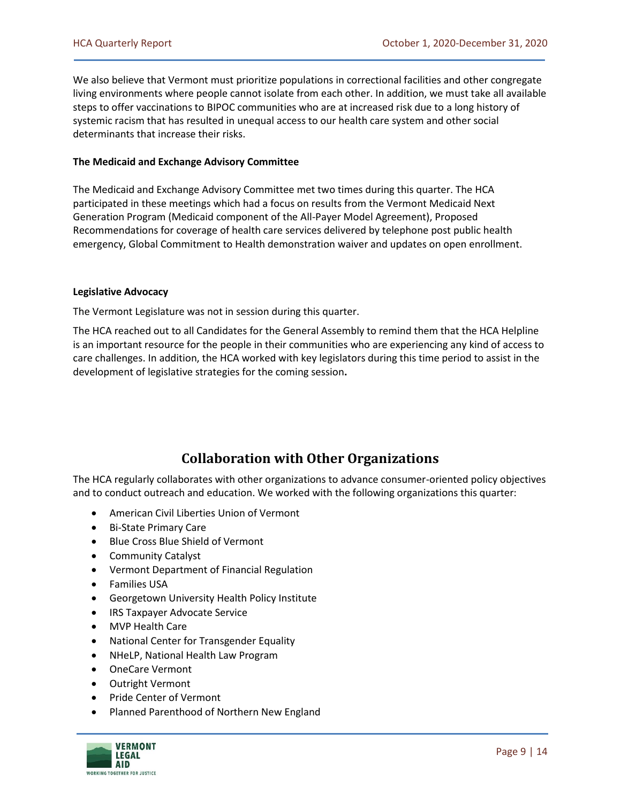We also believe that Vermont must prioritize populations in correctional facilities and other congregate living environments where people cannot isolate from each other. In addition, we must take all available steps to offer vaccinations to BIPOC communities who are at increased risk due to a long history of systemic racism that has resulted in unequal access to our health care system and other social determinants that increase their risks.

#### **The Medicaid and Exchange Advisory Committee**

The Medicaid and Exchange Advisory Committee met two times during this quarter. The HCA participated in these meetings which had a focus on results from the Vermont Medicaid Next Generation Program (Medicaid component of the All-Payer Model Agreement), Proposed Recommendations for coverage of health care services delivered by telephone post public health emergency, Global Commitment to Health demonstration waiver and updates on open enrollment.

#### **Legislative Advocacy**

The Vermont Legislature was not in session during this quarter.

The HCA reached out to all Candidates for the General Assembly to remind them that the HCA Helpline is an important resource for the people in their communities who are experiencing any kind of access to care challenges. In addition, the HCA worked with key legislators during this time period to assist in the development of legislative strategies for the coming session**.** 

## **Collaboration with Other Organizations**

The HCA regularly collaborates with other organizations to advance consumer-oriented policy objectives and to conduct outreach and education. We worked with the following organizations this quarter:

- American Civil Liberties Union of Vermont
- Bi-State Primary Care
- Blue Cross Blue Shield of Vermont
- Community Catalyst
- Vermont Department of Financial Regulation
- Families USA
- Georgetown University Health Policy Institute
- IRS Taxpayer Advocate Service
- MVP Health Care
- National Center for Transgender Equality
- NHeLP, National Health Law Program
- OneCare Vermont
- Outright Vermont
- Pride Center of Vermont
- Planned Parenthood of Northern New England

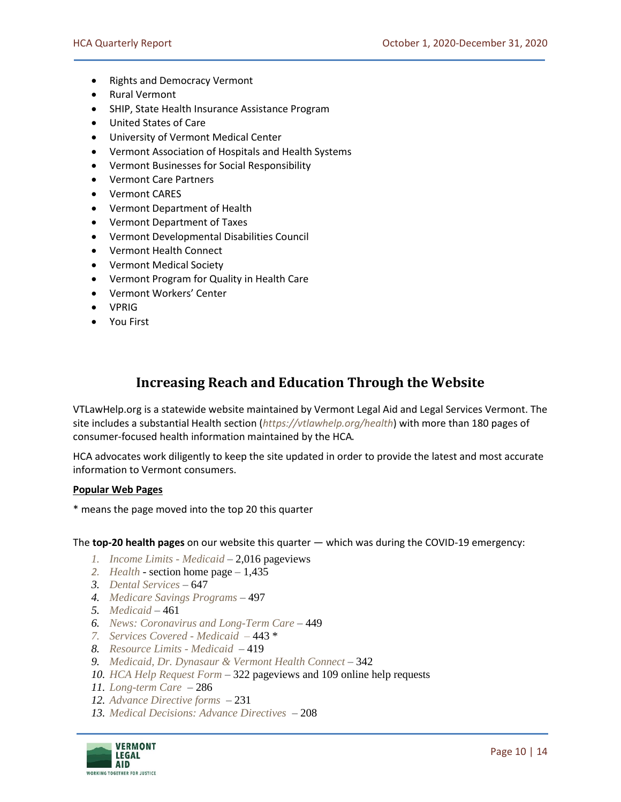- Rights and Democracy Vermont
- Rural Vermont
- SHIP, State Health Insurance Assistance Program
- United States of Care
- University of Vermont Medical Center
- Vermont Association of Hospitals and Health Systems
- Vermont Businesses for Social Responsibility
- Vermont Care Partners
- Vermont CARES
- Vermont Department of Health
- Vermont Department of Taxes
- Vermont Developmental Disabilities Council
- Vermont Health Connect
- Vermont Medical Society
- Vermont Program for Quality in Health Care
- Vermont Workers' Center
- VPRIG
- You First

### **Increasing Reach and Education Through the Website**

VTLawHelp.org is a statewide website maintained by Vermont Legal Aid and Legal Services Vermont. The site includes a substantial Health section (*<https://vtlawhelp.org/health>*) with more than 180 pages of consumer-focused health information maintained by the HCA.

HCA advocates work diligently to keep the site updated in order to provide the latest and most accurate information to Vermont consumers.

#### **Popular Web Pages**

\* means the page moved into the top 20 this quarter

The **top-20 health pages** on our website this quarter — which was during the COVID-19 emergency:

- *1. [Income Limits -](https://vtlawhelp.org/income-limits-medicaid) Medicaid* 2,016 pageviews
- *2. [Health](https://vtlawhelp.org/health)* section home page 1,435
- *3. [Dental Services](https://vtlawhelp.org/dental-services)* 647
- *4. [Medicare Savings Programs](https://vtlawhelp.org/medicare-savings-buy-programs)* 497
- *5. [Medicaid](https://vtlawhelp.org/medicaid)* 461
- *6. [News: Coronavirus and Long-Term Care](https://vtlawhelp.org/coronavirus-long-term-care)* 449
- *7. [Services Covered -](https://vtlawhelp.org/services-covered-medicaid) Medicaid –* 443 \*
- *8. [Resource Limits -](https://vtlawhelp.org/resource-limits-medicaid) Medicaid* 419
- *9. [Medicaid, Dr. Dynasaur & Vermont Health Connect](https://vtlawhelp.org/medicaid-green-mountain-care)* 342
- *10. [HCA Help Request Form](https://vtlawhelp.org/vtlegal_gethelp)*  322 pageviews and 109 online help requests
- *11. [Long-term Care](https://vtlawhelp.org/long-term-care)* 286
- *12. [Advance Directive forms](https://vtlawhelp.org/medical-decisions-advance-directives-and-living-wills)*  231
- *13. [Medical Decisions: Advance Directives](https://vtlawhelp.org/medical-decisions-advance-directives-and-living-wills)*  208

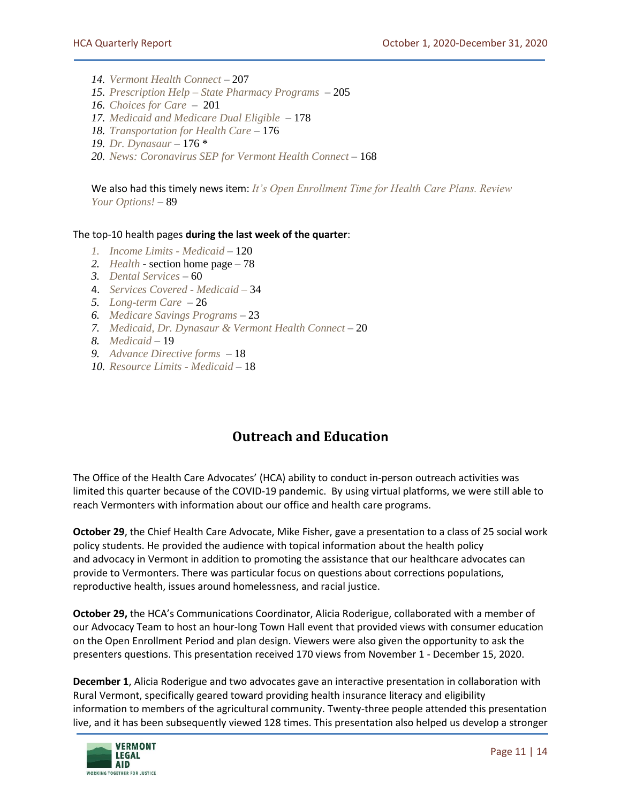- *14. [Vermont Health Connect](https://vtlawhelp.org/vermont-health-connect)* 207
- *15. Prescription Help – [State Pharmacy Programs](https://vtlawhelp.org/prescription-assistance-state-pharmacy-programs)* 205
- *16. [Choices for Care](https://vtlawhelp.org/vermont-choices-care-cfc)*  201
- *17. [Medicaid and Medicare Dual Eligible](https://vtlawhelp.org/medicaid-and-medicare-dual-eligible)* 178
- *18. [Transportation for Health Care](https://vtlawhelp.org/transportation-health-care)* 176
- *19. [Dr. Dynasaur](https://vtlawhelp.org/dr-dynasaur)* 176 \*
- *20. [News: Coronavirus SEP for Vermont Health Co](https://vtlawhelp.org/vhc-coronavirus)nnect*  168

We also had this timely news item: *[It's Open Enrollment Time for Health Care Plans. Review](https://vtlawhelp.org/open-enrollment-2021)  [Your Options!](https://vtlawhelp.org/open-enrollment-2021)* – 89

#### The top-10 health pages **during the last week of the quarter**:

- *1. [Income Limits -](https://vtlawhelp.org/income-limits-medicaid) Medicaid* 120
- *2. [Health](https://vtlawhelp.org/health)* section home page 78
- *3. [Dental Services](https://vtlawhelp.org/dental-services)* 60
- 4. *[Services Covered -](https://vtlawhelp.org/services-covered-medicaid) Medicaid –* 34
- *5. [Long-term Care](https://vtlawhelp.org/long-term-care)* 26
- *6. [Medicare Savings Programs](https://vtlawhelp.org/medicare-savings-buy-programs)* 23
- *7. [Medicaid, Dr. Dynasaur & Vermont Health Connect](https://vtlawhelp.org/medicaid-green-mountain-care)* 20
- *8. [Medicaid](https://vtlawhelp.org/medicaid)*  19
- *9. [Advance Directive forms](https://vtlawhelp.org/medical-decisions-advance-directives-and-living-wills)*  18
- *10. [Resource Limits -](https://vtlawhelp.org/resource-limits-medicaid) Medicaid* 18

## **Outreach and Education**

The Office of the Health Care Advocates' (HCA) ability to conduct in-person outreach activities was limited this quarter because of the COVID-19 pandemic. By using virtual platforms, we were still able to reach Vermonters with information about our office and health care programs.

**October 29**, the Chief Health Care Advocate, Mike Fisher, gave a presentation to a class of 25 social work policy students. He provided the audience with topical information about the health policy and advocacy in Vermont in addition to promoting the assistance that our healthcare advocates can provide to Vermonters. There was particular focus on questions about corrections populations, reproductive health, issues around homelessness, and racial justice.

**October 29,** the HCA's Communications Coordinator, Alicia Roderigue, collaborated with a member of our Advocacy Team to host an hour-long Town Hall event that provided views with consumer education on the Open Enrollment Period and plan design. Viewers were also given the opportunity to ask the presenters questions. This presentation received 170 views from November 1 - December 15, 2020.

**December 1**, Alicia Roderigue and two advocates gave an interactive presentation in collaboration with Rural Vermont, specifically geared toward providing health insurance literacy and eligibility information to members of the agricultural community. Twenty-three people attended this presentation live, and it has been subsequently viewed 128 times. This presentation also helped us develop a stronger

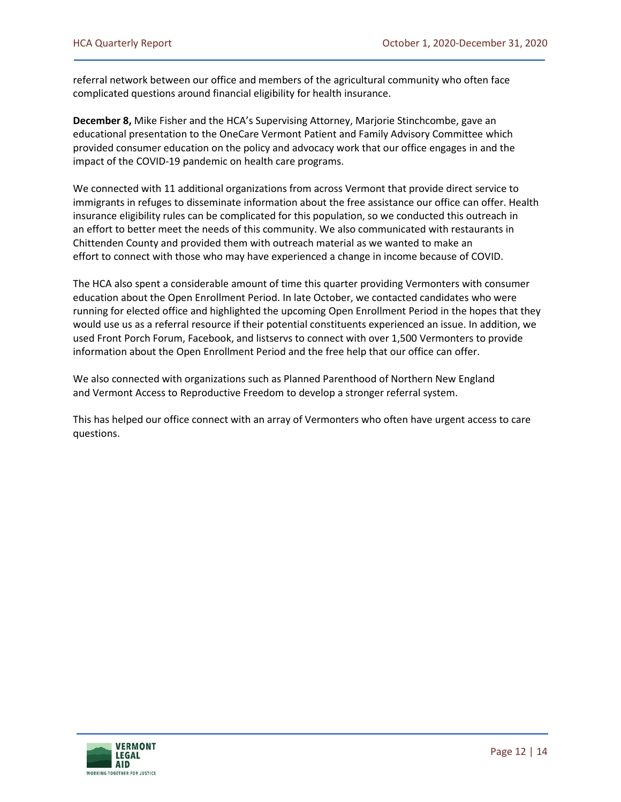referral network between our office and members of the agricultural community who often face complicated questions around financial eligibility for health insurance.

**December 8,** Mike Fisher and the HCA's Supervising Attorney, Marjorie Stinchcombe, gave an educational presentation to the OneCare Vermont Patient and Family Advisory Committee which provided consumer education on the policy and advocacy work that our office engages in and the impact of the COVID-19 pandemic on health care programs.

We connected with 11 additional organizations from across Vermont that provide direct service to immigrants in refuges to disseminate information about the free assistance our office can offer. Health insurance eligibility rules can be complicated for this population, so we conducted this outreach in an effort to better meet the needs of this community. We also communicated with restaurants in Chittenden County and provided them with outreach material as we wanted to make an effort to connect with those who may have experienced a change in income because of COVID.

The HCA also spent a considerable amount of time this quarter providing Vermonters with consumer education about the Open Enrollment Period. In late October, we contacted candidates who were running for elected office and highlighted the upcoming Open Enrollment Period in the hopes that they would use us as a referral resource if their potential constituents experienced an issue. In addition, we used Front Porch Forum, Facebook, and listservs to connect with over 1,500 Vermonters to provide information about the Open Enrollment Period and the free help that our office can offer.

We also connected with organizations such as Planned Parenthood of Northern New England and Vermont Access to Reproductive Freedom to develop a stronger referral system.

This has helped our office connect with an array of Vermonters who often have urgent access to care questions.

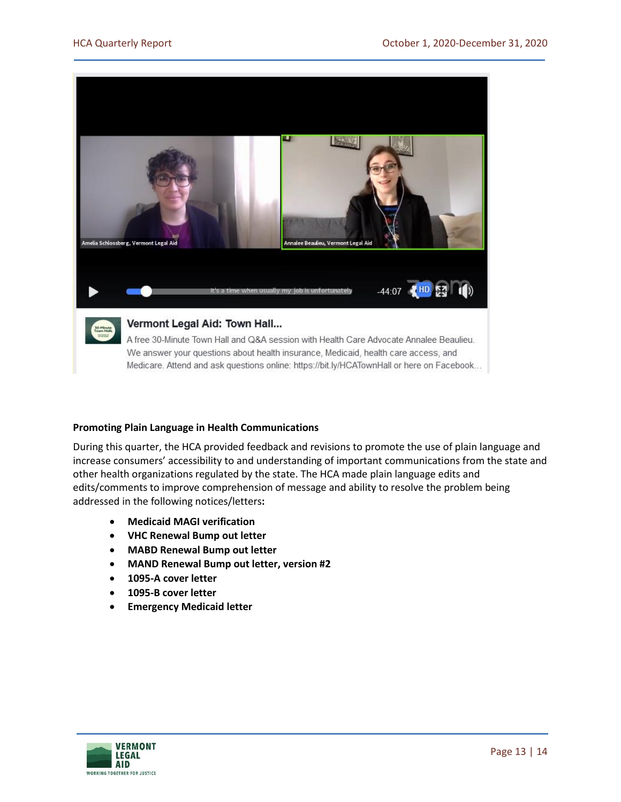

#### **Promoting Plain Language in Health Communications**

During this quarter, the HCA provided feedback and revisions to promote the use of plain language and increase consumers' accessibility to and understanding of important communications from the state and other health organizations regulated by the state. The HCA made plain language edits and edits/comments to improve comprehension of message and ability to resolve the problem being addressed in the following notices/letters**:**

- **Medicaid MAGI verification**
- **VHC Renewal Bump out letter**
- **MABD Renewal Bump out letter**
- **MAND Renewal Bump out letter, version #2**
- **1095-A cover letter**
- **1095-B cover letter**
- **Emergency Medicaid letter**